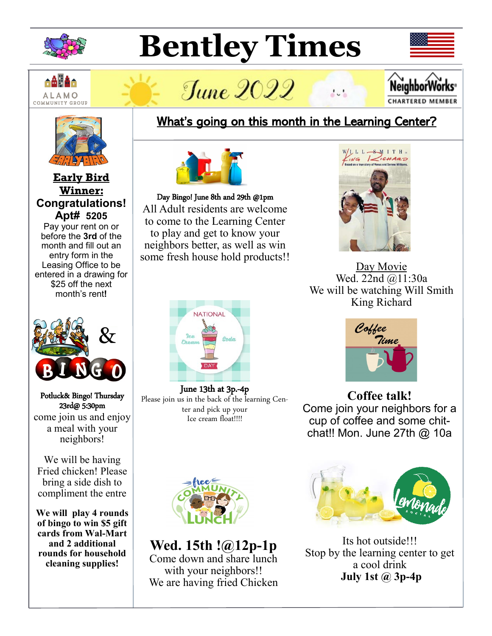

# **Bentley Times**



June 2022





**Early Bird Winner: Congratulations! Apt# 5205** 

Pay your rent on or before the **3rd** of the month and fill out an entry form in the Leasing Office to be entered in a drawing for \$25 off the next month's rent**!**



Potluck& Bingo! Thursday 23rd@ 5:30pm come join us and enjoy a meal with your neighbors!

We will be having Fried chicken! Please bring a side dish to compliment the entre

**We will play 4 rounds of bingo to win \$5 gift cards from Wal-Mart and 2 additional rounds for household cleaning supplies!**

# What's going on this month in the Learning Center?



Day Bingo! June 8th and 29th @1pm All Adult residents are welcome to come to the Learning Center to play and get to know your neighbors better, as well as win some fresh house hold products!!



June 13th at 3p.-4p Please join us in the back of the learning Center and pick up your Ice cream float!!!!



**Wed. 15th !@12p-1p** Come down and share lunch with your neighbors!! We are having fried Chicken



Day Movie Wed.  $22nd$   $\omega$ 11:30a We will be watching Will Smith King Richard



**Coffee talk!** Come join your neighbors for a cup of coffee and some chitchat!! Mon. June 27th @ 10a



Its hot outside!!! Stop by the learning center to get a cool drink **July 1st @ 3p-4p**